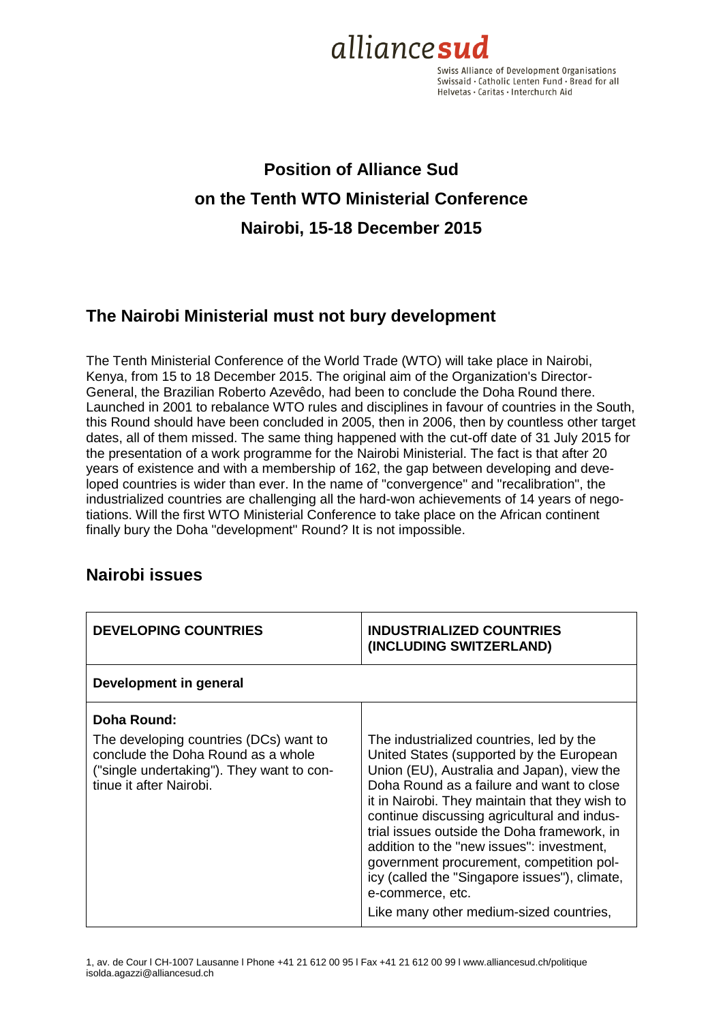

Swiss Alliance of Development Organisations Swissaid · Catholic Lenten Fund · Bread for all Helvetas · Caritas · Interchurch Aid

# **Position of Alliance Sud on the Tenth WTO Ministerial Conference Nairobi, 15-18 December 2015**

### **The Nairobi Ministerial must not bury development**

The Tenth Ministerial Conference of the World Trade (WTO) will take place in Nairobi, Kenya, from 15 to 18 December 2015. The original aim of the Organization's Director-General, the Brazilian Roberto Azevêdo, had been to conclude the Doha Round there. Launched in 2001 to rebalance WTO rules and disciplines in favour of countries in the South, this Round should have been concluded in 2005, then in 2006, then by countless other target dates, all of them missed. The same thing happened with the cut-off date of 31 July 2015 for the presentation of a work programme for the Nairobi Ministerial. The fact is that after 20 years of existence and with a membership of 162, the gap between developing and developed countries is wider than ever. In the name of "convergence" and "recalibration", the industrialized countries are challenging all the hard-won achievements of 14 years of negotiations. Will the first WTO Ministerial Conference to take place on the African continent finally bury the Doha "development" Round? It is not impossible.

### **Nairobi issues**

| <b>DEVELOPING COUNTRIES</b>                                                                                                                                         | <b>INDUSTRIALIZED COUNTRIES</b><br>(INCLUDING SWITZERLAND)                                                                                                                                                                                                                                                                                                                                                                                                                                                                               |
|---------------------------------------------------------------------------------------------------------------------------------------------------------------------|------------------------------------------------------------------------------------------------------------------------------------------------------------------------------------------------------------------------------------------------------------------------------------------------------------------------------------------------------------------------------------------------------------------------------------------------------------------------------------------------------------------------------------------|
| Development in general                                                                                                                                              |                                                                                                                                                                                                                                                                                                                                                                                                                                                                                                                                          |
| Doha Round:<br>The developing countries (DCs) want to<br>conclude the Doha Round as a whole<br>("single undertaking"). They want to con-<br>tinue it after Nairobi. | The industrialized countries, led by the<br>United States (supported by the European<br>Union (EU), Australia and Japan), view the<br>Doha Round as a failure and want to close<br>it in Nairobi. They maintain that they wish to<br>continue discussing agricultural and indus-<br>trial issues outside the Doha framework, in<br>addition to the "new issues": investment,<br>government procurement, competition pol-<br>icy (called the "Singapore issues"), climate,<br>e-commerce, etc.<br>Like many other medium-sized countries, |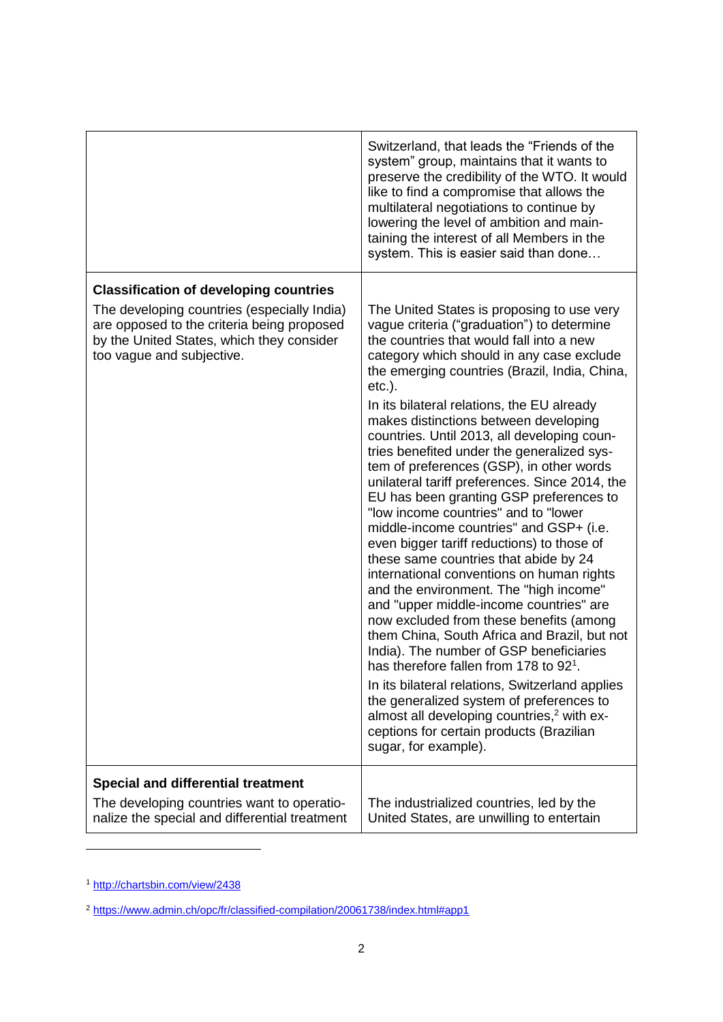|                                                                                                                                                                                                                      | Switzerland, that leads the "Friends of the<br>system" group, maintains that it wants to<br>preserve the credibility of the WTO. It would<br>like to find a compromise that allows the<br>multilateral negotiations to continue by<br>lowering the level of ambition and main-<br>taining the interest of all Members in the<br>system. This is easier said than done                                                                                                                                                                                                                                                                                                                                                                                                                                                                                                                                                                                                                                                                                                                                                                                                                                                                                                                                             |
|----------------------------------------------------------------------------------------------------------------------------------------------------------------------------------------------------------------------|-------------------------------------------------------------------------------------------------------------------------------------------------------------------------------------------------------------------------------------------------------------------------------------------------------------------------------------------------------------------------------------------------------------------------------------------------------------------------------------------------------------------------------------------------------------------------------------------------------------------------------------------------------------------------------------------------------------------------------------------------------------------------------------------------------------------------------------------------------------------------------------------------------------------------------------------------------------------------------------------------------------------------------------------------------------------------------------------------------------------------------------------------------------------------------------------------------------------------------------------------------------------------------------------------------------------|
| <b>Classification of developing countries</b><br>The developing countries (especially India)<br>are opposed to the criteria being proposed<br>by the United States, which they consider<br>too vague and subjective. | The United States is proposing to use very<br>vague criteria ("graduation") to determine<br>the countries that would fall into a new<br>category which should in any case exclude<br>the emerging countries (Brazil, India, China,<br>$etc.$ ).<br>In its bilateral relations, the EU already<br>makes distinctions between developing<br>countries. Until 2013, all developing coun-<br>tries benefited under the generalized sys-<br>tem of preferences (GSP), in other words<br>unilateral tariff preferences. Since 2014, the<br>EU has been granting GSP preferences to<br>"low income countries" and to "lower<br>middle-income countries" and GSP+ (i.e.<br>even bigger tariff reductions) to those of<br>these same countries that abide by 24<br>international conventions on human rights<br>and the environment. The "high income"<br>and "upper middle-income countries" are<br>now excluded from these benefits (among<br>them China, South Africa and Brazil, but not<br>India). The number of GSP beneficiaries<br>has therefore fallen from 178 to 92 <sup>1</sup> .<br>In its bilateral relations, Switzerland applies<br>the generalized system of preferences to<br>almost all developing countries, <sup>2</sup> with ex-<br>ceptions for certain products (Brazilian<br>sugar, for example). |
| <b>Special and differential treatment</b><br>The developing countries want to operatio-<br>nalize the special and differential treatment                                                                             | The industrialized countries, led by the<br>United States, are unwilling to entertain                                                                                                                                                                                                                                                                                                                                                                                                                                                                                                                                                                                                                                                                                                                                                                                                                                                                                                                                                                                                                                                                                                                                                                                                                             |

<sup>1</sup> <http://chartsbin.com/view/2438>

l

<sup>2</sup> <https://www.admin.ch/opc/fr/classified-compilation/20061738/index.html#app1>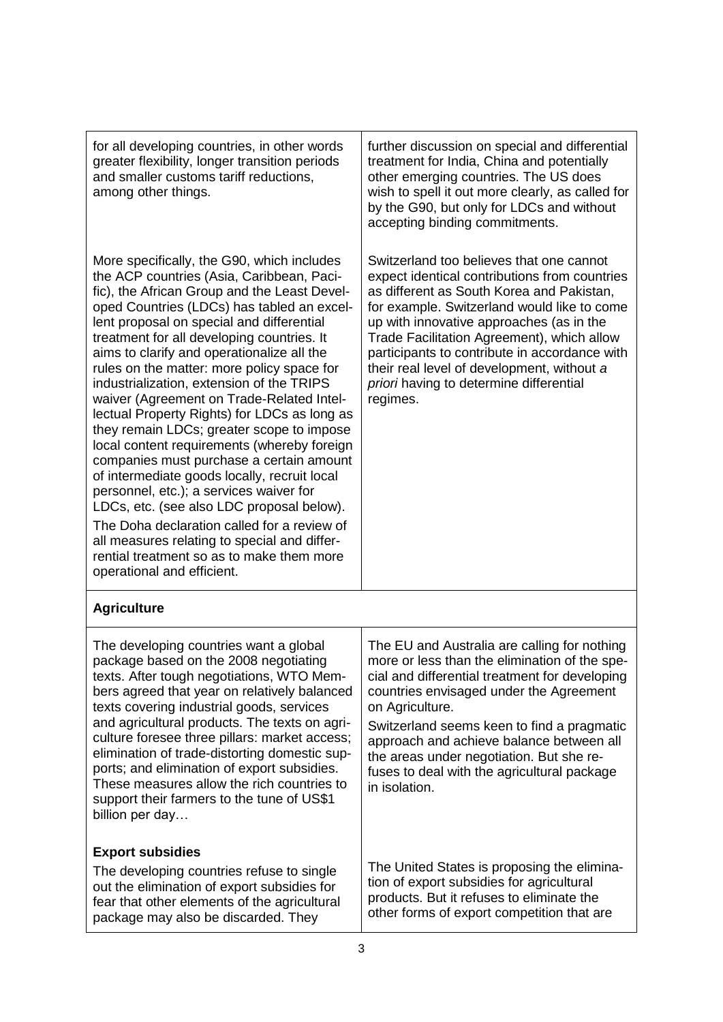| for all developing countries, in other words<br>greater flexibility, longer transition periods<br>and smaller customs tariff reductions,<br>among other things.                                                                                                                                                                                                                                                                                                                                                                                                                                                                                                                                                                                                                                                                                                                                                                                                                  | further discussion on special and differential<br>treatment for India, China and potentially<br>other emerging countries. The US does<br>wish to spell it out more clearly, as called for<br>by the G90, but only for LDCs and without<br>accepting binding commitments.                                                                                                                                                              |
|----------------------------------------------------------------------------------------------------------------------------------------------------------------------------------------------------------------------------------------------------------------------------------------------------------------------------------------------------------------------------------------------------------------------------------------------------------------------------------------------------------------------------------------------------------------------------------------------------------------------------------------------------------------------------------------------------------------------------------------------------------------------------------------------------------------------------------------------------------------------------------------------------------------------------------------------------------------------------------|---------------------------------------------------------------------------------------------------------------------------------------------------------------------------------------------------------------------------------------------------------------------------------------------------------------------------------------------------------------------------------------------------------------------------------------|
| More specifically, the G90, which includes<br>the ACP countries (Asia, Caribbean, Paci-<br>fic), the African Group and the Least Devel-<br>oped Countries (LDCs) has tabled an excel-<br>lent proposal on special and differential<br>treatment for all developing countries. It<br>aims to clarify and operationalize all the<br>rules on the matter: more policy space for<br>industrialization, extension of the TRIPS<br>waiver (Agreement on Trade-Related Intel-<br>lectual Property Rights) for LDCs as long as<br>they remain LDCs; greater scope to impose<br>local content requirements (whereby foreign<br>companies must purchase a certain amount<br>of intermediate goods locally, recruit local<br>personnel, etc.); a services waiver for<br>LDCs, etc. (see also LDC proposal below).<br>The Doha declaration called for a review of<br>all measures relating to special and differ-<br>rential treatment so as to make them more<br>operational and efficient. | Switzerland too believes that one cannot<br>expect identical contributions from countries<br>as different as South Korea and Pakistan,<br>for example. Switzerland would like to come<br>up with innovative approaches (as in the<br>Trade Facilitation Agreement), which allow<br>participants to contribute in accordance with<br>their real level of development, without a<br>priori having to determine differential<br>regimes. |
| <b>Agriculture</b>                                                                                                                                                                                                                                                                                                                                                                                                                                                                                                                                                                                                                                                                                                                                                                                                                                                                                                                                                               |                                                                                                                                                                                                                                                                                                                                                                                                                                       |
| The developing countries want a global<br>package based on the 2008 negotiating<br>texts. After tough negotiations, WTO Mem-<br>bers agreed that year on relatively balanced<br>texts covering industrial goods, services<br>and agricultural products. The texts on agri-<br>culture foresee three pillars: market access;<br>elimination of trade-distorting domestic sup-<br>ports; and elimination of export subsidies.<br>These measures allow the rich countries to<br>support their farmers to the tune of US\$1<br>billion per day                                                                                                                                                                                                                                                                                                                                                                                                                                       | The EU and Australia are calling for nothing<br>more or less than the elimination of the spe-<br>cial and differential treatment for developing<br>countries envisaged under the Agreement<br>on Agriculture.<br>Switzerland seems keen to find a pragmatic<br>approach and achieve balance between all<br>the areas under negotiation. But she re-<br>fuses to deal with the agricultural package<br>in isolation.                   |
| <b>Export subsidies</b><br>The developing countries refuse to single<br>out the elimination of export subsidies for<br>fear that other elements of the agricultural<br>package may also be discarded. They                                                                                                                                                                                                                                                                                                                                                                                                                                                                                                                                                                                                                                                                                                                                                                       | The United States is proposing the elimina-<br>tion of export subsidies for agricultural<br>products. But it refuses to eliminate the<br>other forms of export competition that are                                                                                                                                                                                                                                                   |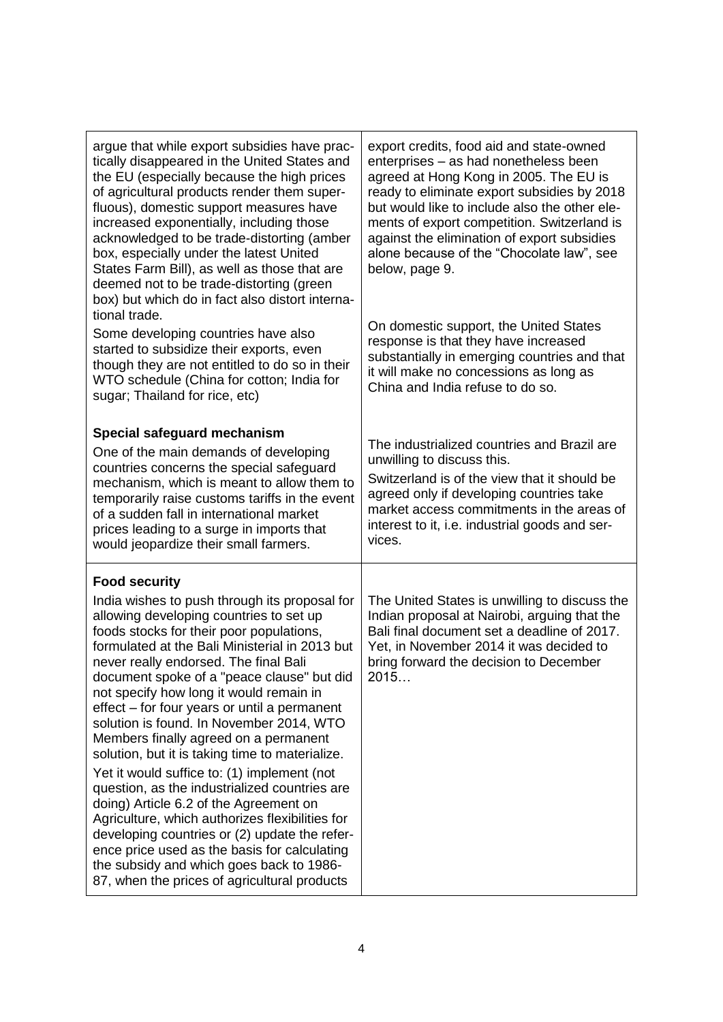| argue that while export subsidies have prac-<br>tically disappeared in the United States and<br>the EU (especially because the high prices<br>of agricultural products render them super-<br>fluous), domestic support measures have<br>increased exponentially, including those<br>acknowledged to be trade-distorting (amber<br>box, especially under the latest United<br>States Farm Bill), as well as those that are<br>deemed not to be trade-distorting (green<br>box) but which do in fact also distort interna-<br>tional trade.                                                                                                                                                                                                                                                                                                                                                                  | export credits, food aid and state-owned<br>enterprises - as had nonetheless been<br>agreed at Hong Kong in 2005. The EU is<br>ready to eliminate export subsidies by 2018<br>but would like to include also the other ele-<br>ments of export competition. Switzerland is<br>against the elimination of export subsidies<br>alone because of the "Chocolate law", see<br>below, page 9. |
|------------------------------------------------------------------------------------------------------------------------------------------------------------------------------------------------------------------------------------------------------------------------------------------------------------------------------------------------------------------------------------------------------------------------------------------------------------------------------------------------------------------------------------------------------------------------------------------------------------------------------------------------------------------------------------------------------------------------------------------------------------------------------------------------------------------------------------------------------------------------------------------------------------|------------------------------------------------------------------------------------------------------------------------------------------------------------------------------------------------------------------------------------------------------------------------------------------------------------------------------------------------------------------------------------------|
| Some developing countries have also<br>started to subsidize their exports, even<br>though they are not entitled to do so in their<br>WTO schedule (China for cotton; India for<br>sugar; Thailand for rice, etc)                                                                                                                                                                                                                                                                                                                                                                                                                                                                                                                                                                                                                                                                                           | On domestic support, the United States<br>response is that they have increased<br>substantially in emerging countries and that<br>it will make no concessions as long as<br>China and India refuse to do so.                                                                                                                                                                             |
| Special safeguard mechanism<br>One of the main demands of developing<br>countries concerns the special safeguard<br>mechanism, which is meant to allow them to<br>temporarily raise customs tariffs in the event<br>of a sudden fall in international market<br>prices leading to a surge in imports that<br>would jeopardize their small farmers.                                                                                                                                                                                                                                                                                                                                                                                                                                                                                                                                                         | The industrialized countries and Brazil are<br>unwilling to discuss this.<br>Switzerland is of the view that it should be<br>agreed only if developing countries take<br>market access commitments in the areas of<br>interest to it, i.e. industrial goods and ser-<br>vices.                                                                                                           |
| <b>Food security</b>                                                                                                                                                                                                                                                                                                                                                                                                                                                                                                                                                                                                                                                                                                                                                                                                                                                                                       |                                                                                                                                                                                                                                                                                                                                                                                          |
| India wishes to push through its proposal for<br>allowing developing countries to set up<br>foods stocks for their poor populations,<br>formulated at the Bali Ministerial in 2013 but<br>never really endorsed. The final Bali<br>document spoke of a "peace clause" but did<br>not specify how long it would remain in<br>effect – for four years or until a permanent<br>solution is found. In November 2014, WTO<br>Members finally agreed on a permanent<br>solution, but it is taking time to materialize.<br>Yet it would suffice to: (1) implement (not<br>question, as the industrialized countries are<br>doing) Article 6.2 of the Agreement on<br>Agriculture, which authorizes flexibilities for<br>developing countries or (2) update the refer-<br>ence price used as the basis for calculating<br>the subsidy and which goes back to 1986-<br>87, when the prices of agricultural products | The United States is unwilling to discuss the<br>Indian proposal at Nairobi, arguing that the<br>Bali final document set a deadline of 2017.<br>Yet, in November 2014 it was decided to<br>bring forward the decision to December<br>2015                                                                                                                                                |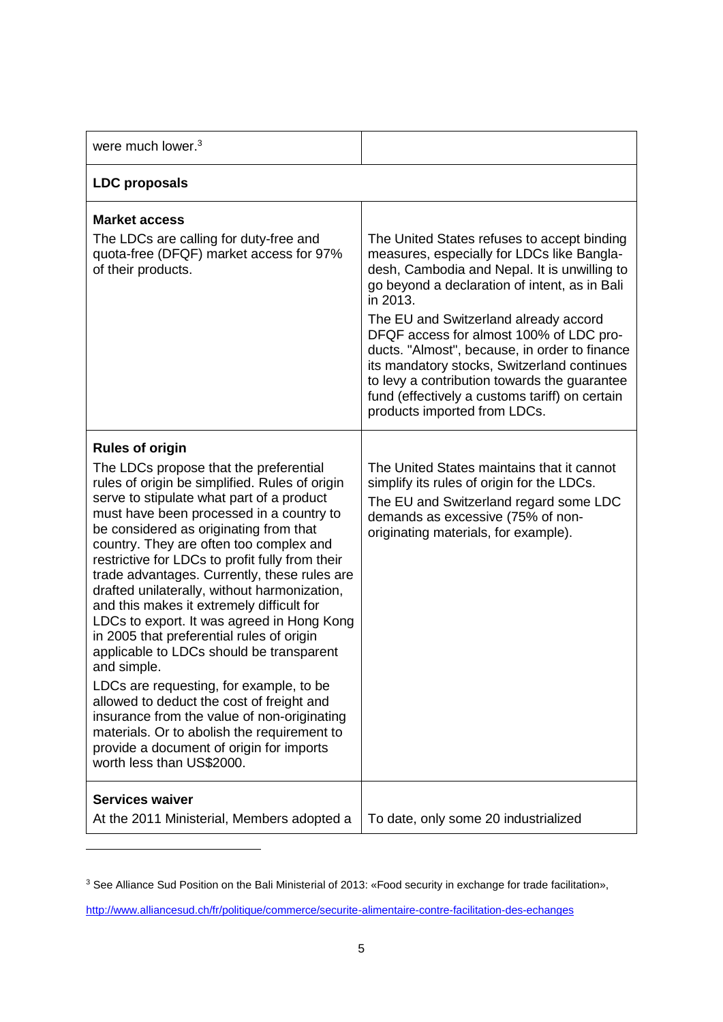| were much lower. <sup>3</sup>                                                                                                                                                                                                                                                                                                                                                                                                                                                                                                                                                                                                                                                                                                                                                                                                                                                                                         |                                                                                                                                                                                                                                                                                                                                                                                                                                                                                                                              |
|-----------------------------------------------------------------------------------------------------------------------------------------------------------------------------------------------------------------------------------------------------------------------------------------------------------------------------------------------------------------------------------------------------------------------------------------------------------------------------------------------------------------------------------------------------------------------------------------------------------------------------------------------------------------------------------------------------------------------------------------------------------------------------------------------------------------------------------------------------------------------------------------------------------------------|------------------------------------------------------------------------------------------------------------------------------------------------------------------------------------------------------------------------------------------------------------------------------------------------------------------------------------------------------------------------------------------------------------------------------------------------------------------------------------------------------------------------------|
| <b>LDC</b> proposals                                                                                                                                                                                                                                                                                                                                                                                                                                                                                                                                                                                                                                                                                                                                                                                                                                                                                                  |                                                                                                                                                                                                                                                                                                                                                                                                                                                                                                                              |
| <b>Market access</b><br>The LDCs are calling for duty-free and<br>quota-free (DFQF) market access for 97%<br>of their products.                                                                                                                                                                                                                                                                                                                                                                                                                                                                                                                                                                                                                                                                                                                                                                                       | The United States refuses to accept binding<br>measures, especially for LDCs like Bangla-<br>desh, Cambodia and Nepal. It is unwilling to<br>go beyond a declaration of intent, as in Bali<br>in 2013.<br>The EU and Switzerland already accord<br>DFQF access for almost 100% of LDC pro-<br>ducts. "Almost", because, in order to finance<br>its mandatory stocks, Switzerland continues<br>to levy a contribution towards the guarantee<br>fund (effectively a customs tariff) on certain<br>products imported from LDCs. |
| <b>Rules of origin</b><br>The LDCs propose that the preferential<br>rules of origin be simplified. Rules of origin<br>serve to stipulate what part of a product<br>must have been processed in a country to<br>be considered as originating from that<br>country. They are often too complex and<br>restrictive for LDCs to profit fully from their<br>trade advantages. Currently, these rules are<br>drafted unilaterally, without harmonization,<br>and this makes it extremely difficult for<br>LDCs to export. It was agreed in Hong Kong<br>in 2005 that preferential rules of origin<br>applicable to LDCs should be transparent<br>and simple.<br>LDCs are requesting, for example, to be<br>allowed to deduct the cost of freight and<br>insurance from the value of non-originating<br>materials. Or to abolish the requirement to<br>provide a document of origin for imports<br>worth less than US\$2000. | The United States maintains that it cannot<br>simplify its rules of origin for the LDCs.<br>The EU and Switzerland regard some LDC<br>demands as excessive (75% of non-<br>originating materials, for example).                                                                                                                                                                                                                                                                                                              |
| <b>Services waiver</b><br>At the 2011 Ministerial, Members adopted a                                                                                                                                                                                                                                                                                                                                                                                                                                                                                                                                                                                                                                                                                                                                                                                                                                                  | To date, only some 20 industrialized                                                                                                                                                                                                                                                                                                                                                                                                                                                                                         |

<sup>3</sup> See Alliance Sud Position on the Bali Ministerial of 2013: «Food security in exchange for trade facilitation»,

l

<http://www.alliancesud.ch/fr/politique/commerce/securite-alimentaire-contre-facilitation-des-echanges>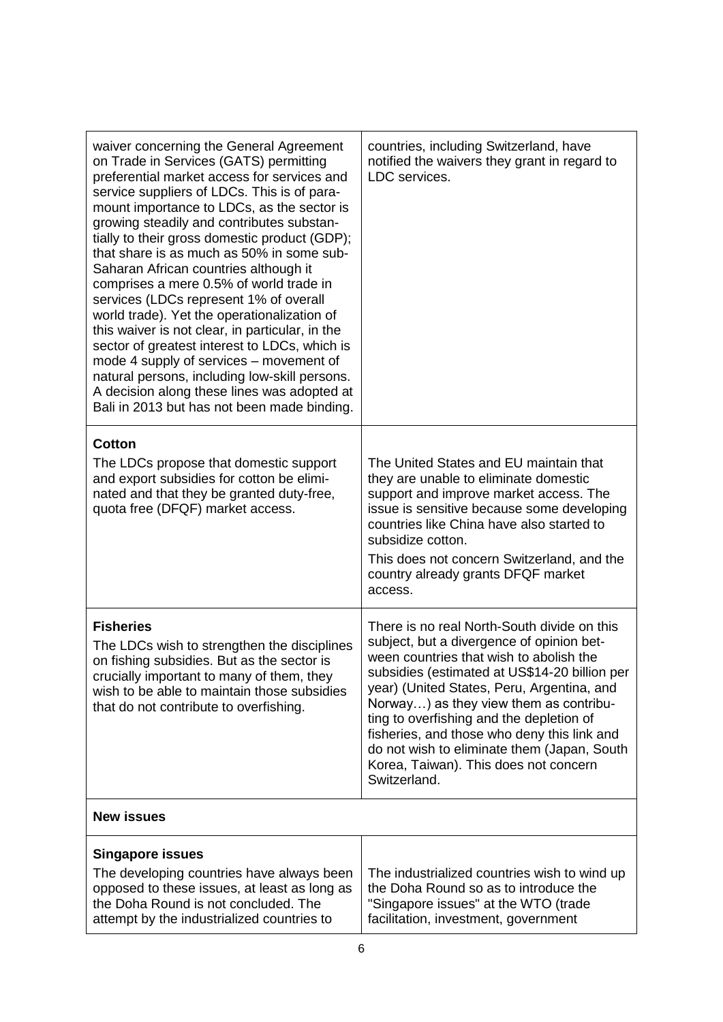| waiver concerning the General Agreement<br>on Trade in Services (GATS) permitting<br>preferential market access for services and<br>service suppliers of LDCs. This is of para-<br>mount importance to LDCs, as the sector is<br>growing steadily and contributes substan-<br>tially to their gross domestic product (GDP);<br>that share is as much as 50% in some sub-<br>Saharan African countries although it<br>comprises a mere 0.5% of world trade in<br>services (LDCs represent 1% of overall<br>world trade). Yet the operationalization of<br>this waiver is not clear, in particular, in the<br>sector of greatest interest to LDCs, which is<br>mode 4 supply of services – movement of<br>natural persons, including low-skill persons.<br>A decision along these lines was adopted at<br>Bali in 2013 but has not been made binding. | countries, including Switzerland, have<br>notified the waivers they grant in regard to<br>LDC services.                                                                                                                                                                                                                                                                                                                                                                         |
|-----------------------------------------------------------------------------------------------------------------------------------------------------------------------------------------------------------------------------------------------------------------------------------------------------------------------------------------------------------------------------------------------------------------------------------------------------------------------------------------------------------------------------------------------------------------------------------------------------------------------------------------------------------------------------------------------------------------------------------------------------------------------------------------------------------------------------------------------------|---------------------------------------------------------------------------------------------------------------------------------------------------------------------------------------------------------------------------------------------------------------------------------------------------------------------------------------------------------------------------------------------------------------------------------------------------------------------------------|
| <b>Cotton</b><br>The LDCs propose that domestic support<br>and export subsidies for cotton be elimi-<br>nated and that they be granted duty-free,<br>quota free (DFQF) market access.                                                                                                                                                                                                                                                                                                                                                                                                                                                                                                                                                                                                                                                               | The United States and EU maintain that<br>they are unable to eliminate domestic<br>support and improve market access. The<br>issue is sensitive because some developing<br>countries like China have also started to<br>subsidize cotton.<br>This does not concern Switzerland, and the<br>country already grants DFQF market<br>access.                                                                                                                                        |
| <b>Fisheries</b><br>The LDCs wish to strengthen the disciplines<br>on fishing subsidies. But as the sector is<br>crucially important to many of them, they<br>wish to be able to maintain those subsidies<br>that do not contribute to overfishing.                                                                                                                                                                                                                                                                                                                                                                                                                                                                                                                                                                                                 | There is no real North-South divide on this<br>subject, but a divergence of opinion bet-<br>ween countries that wish to abolish the<br>subsidies (estimated at US\$14-20 billion per<br>year) (United States, Peru, Argentina, and<br>Norway) as they view them as contribu-<br>ting to overfishing and the depletion of<br>fisheries, and those who deny this link and<br>do not wish to eliminate them (Japan, South<br>Korea, Taiwan). This does not concern<br>Switzerland. |
| <b>New issues</b>                                                                                                                                                                                                                                                                                                                                                                                                                                                                                                                                                                                                                                                                                                                                                                                                                                   |                                                                                                                                                                                                                                                                                                                                                                                                                                                                                 |
| <b>Singapore issues</b><br>The developing countries have always been<br>opposed to these issues, at least as long as<br>the Doha Round is not concluded. The<br>attempt by the industrialized countries to                                                                                                                                                                                                                                                                                                                                                                                                                                                                                                                                                                                                                                          | The industrialized countries wish to wind up<br>the Doha Round so as to introduce the<br>"Singapore issues" at the WTO (trade<br>facilitation, investment, government                                                                                                                                                                                                                                                                                                           |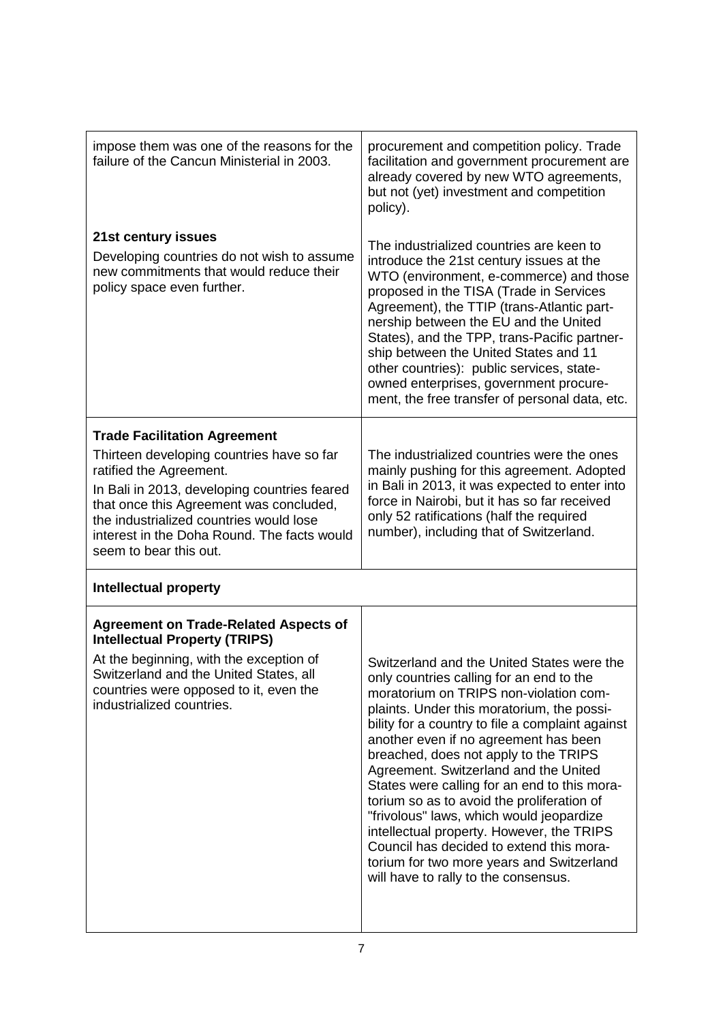| impose them was one of the reasons for the<br>failure of the Cancun Ministerial in 2003.<br>21st century issues<br>Developing countries do not wish to assume<br>new commitments that would reduce their                                                                            | procurement and competition policy. Trade<br>facilitation and government procurement are<br>already covered by new WTO agreements,<br>but not (yet) investment and competition<br>policy).<br>The industrialized countries are keen to<br>introduce the 21st century issues at the<br>WTO (environment, e-commerce) and those                                                                                                                                                                                                                                                                                                                                                         |  |
|-------------------------------------------------------------------------------------------------------------------------------------------------------------------------------------------------------------------------------------------------------------------------------------|---------------------------------------------------------------------------------------------------------------------------------------------------------------------------------------------------------------------------------------------------------------------------------------------------------------------------------------------------------------------------------------------------------------------------------------------------------------------------------------------------------------------------------------------------------------------------------------------------------------------------------------------------------------------------------------|--|
| policy space even further.                                                                                                                                                                                                                                                          | proposed in the TISA (Trade in Services<br>Agreement), the TTIP (trans-Atlantic part-<br>nership between the EU and the United<br>States), and the TPP, trans-Pacific partner-<br>ship between the United States and 11<br>other countries): public services, state-<br>owned enterprises, government procure-<br>ment, the free transfer of personal data, etc.                                                                                                                                                                                                                                                                                                                      |  |
| <b>Trade Facilitation Agreement</b>                                                                                                                                                                                                                                                 |                                                                                                                                                                                                                                                                                                                                                                                                                                                                                                                                                                                                                                                                                       |  |
| Thirteen developing countries have so far<br>ratified the Agreement.<br>In Bali in 2013, developing countries feared<br>that once this Agreement was concluded,<br>the industrialized countries would lose<br>interest in the Doha Round. The facts would<br>seem to bear this out. | The industrialized countries were the ones<br>mainly pushing for this agreement. Adopted<br>in Bali in 2013, it was expected to enter into<br>force in Nairobi, but it has so far received<br>only 52 ratifications (half the required<br>number), including that of Switzerland.                                                                                                                                                                                                                                                                                                                                                                                                     |  |
| <b>Intellectual property</b>                                                                                                                                                                                                                                                        |                                                                                                                                                                                                                                                                                                                                                                                                                                                                                                                                                                                                                                                                                       |  |
| <b>Agreement on Trade-Related Aspects of</b><br><b>Intellectual Property (TRIPS)</b>                                                                                                                                                                                                |                                                                                                                                                                                                                                                                                                                                                                                                                                                                                                                                                                                                                                                                                       |  |
| At the beginning, with the exception of<br>Switzerland and the United States, all<br>countries were opposed to it, even the<br>industrialized countries.                                                                                                                            | Switzerland and the United States were the<br>only countries calling for an end to the<br>moratorium on TRIPS non-violation com-<br>plaints. Under this moratorium, the possi-<br>bility for a country to file a complaint against<br>another even if no agreement has been<br>breached, does not apply to the TRIPS<br>Agreement. Switzerland and the United<br>States were calling for an end to this mora-<br>torium so as to avoid the proliferation of<br>"frivolous" laws, which would jeopardize<br>intellectual property. However, the TRIPS<br>Council has decided to extend this mora-<br>torium for two more years and Switzerland<br>will have to rally to the consensus. |  |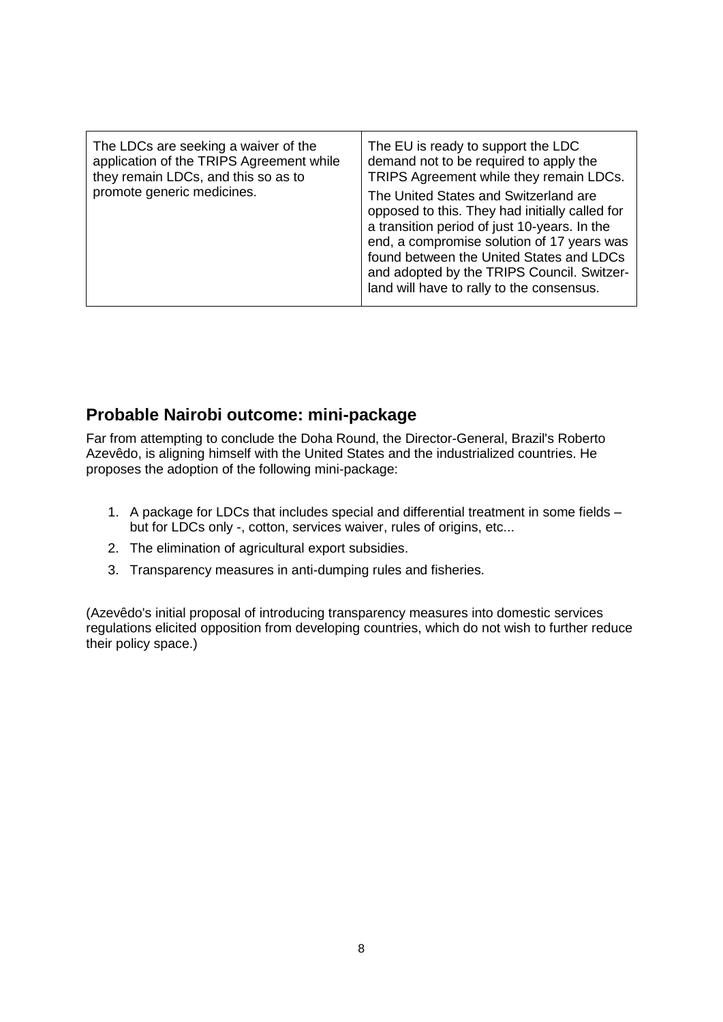| The LDCs are seeking a waiver of the<br>application of the TRIPS Agreement while<br>they remain LDCs, and this so as to<br>promote generic medicines. | The EU is ready to support the LDC<br>demand not to be required to apply the<br>TRIPS Agreement while they remain LDCs.<br>The United States and Switzerland are<br>opposed to this. They had initially called for<br>a transition period of just 10-years. In the<br>end, a compromise solution of 17 years was<br>found between the United States and LDCs<br>and adopted by the TRIPS Council. Switzer-<br>land will have to rally to the consensus. |
|-------------------------------------------------------------------------------------------------------------------------------------------------------|---------------------------------------------------------------------------------------------------------------------------------------------------------------------------------------------------------------------------------------------------------------------------------------------------------------------------------------------------------------------------------------------------------------------------------------------------------|
|-------------------------------------------------------------------------------------------------------------------------------------------------------|---------------------------------------------------------------------------------------------------------------------------------------------------------------------------------------------------------------------------------------------------------------------------------------------------------------------------------------------------------------------------------------------------------------------------------------------------------|

### **Probable Nairobi outcome: mini-package**

Far from attempting to conclude the Doha Round, the Director-General, Brazil's Roberto Azevêdo, is aligning himself with the United States and the industrialized countries. He proposes the adoption of the following mini-package:

- 1. A package for LDCs that includes special and differential treatment in some fields but for LDCs only -, cotton, services waiver, rules of origins, etc...
- 2. The elimination of agricultural export subsidies.
- 3. Transparency measures in anti-dumping rules and fisheries.

(Azevêdo's initial proposal of introducing transparency measures into domestic services regulations elicited opposition from developing countries, which do not wish to further reduce their policy space.)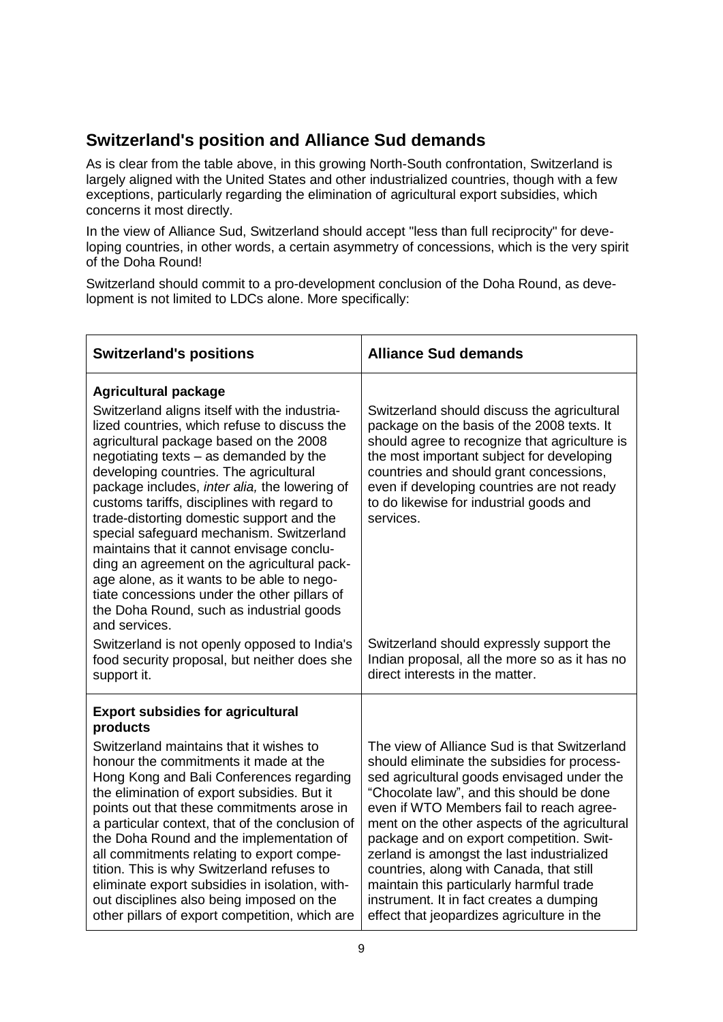## **Switzerland's position and Alliance Sud demands**

As is clear from the table above, in this growing North-South confrontation, Switzerland is largely aligned with the United States and other industrialized countries, though with a few exceptions, particularly regarding the elimination of agricultural export subsidies, which concerns it most directly.

In the view of Alliance Sud, Switzerland should accept "less than full reciprocity" for developing countries, in other words, a certain asymmetry of concessions, which is the very spirit of the Doha Round!

Switzerland should commit to a pro-development conclusion of the Doha Round, as development is not limited to LDCs alone. More specifically:

| <b>Switzerland's positions</b>                                                                                                                                                                                                                                                                                                                                                                                                                                                                                                                                                                                                                                                                               | <b>Alliance Sud demands</b>                                                                                                                                                                                                                                                                                                              |
|--------------------------------------------------------------------------------------------------------------------------------------------------------------------------------------------------------------------------------------------------------------------------------------------------------------------------------------------------------------------------------------------------------------------------------------------------------------------------------------------------------------------------------------------------------------------------------------------------------------------------------------------------------------------------------------------------------------|------------------------------------------------------------------------------------------------------------------------------------------------------------------------------------------------------------------------------------------------------------------------------------------------------------------------------------------|
| <b>Agricultural package</b><br>Switzerland aligns itself with the industria-<br>lized countries, which refuse to discuss the<br>agricultural package based on the 2008<br>negotiating texts $-$ as demanded by the<br>developing countries. The agricultural<br>package includes, inter alia, the lowering of<br>customs tariffs, disciplines with regard to<br>trade-distorting domestic support and the<br>special safeguard mechanism. Switzerland<br>maintains that it cannot envisage conclu-<br>ding an agreement on the agricultural pack-<br>age alone, as it wants to be able to nego-<br>tiate concessions under the other pillars of<br>the Doha Round, such as industrial goods<br>and services. | Switzerland should discuss the agricultural<br>package on the basis of the 2008 texts. It<br>should agree to recognize that agriculture is<br>the most important subject for developing<br>countries and should grant concessions,<br>even if developing countries are not ready<br>to do likewise for industrial goods and<br>services. |
| Switzerland is not openly opposed to India's<br>food security proposal, but neither does she<br>support it.                                                                                                                                                                                                                                                                                                                                                                                                                                                                                                                                                                                                  | Switzerland should expressly support the<br>Indian proposal, all the more so as it has no<br>direct interests in the matter.                                                                                                                                                                                                             |
| <b>Export subsidies for agricultural</b><br>products<br>Switzerland maintains that it wishes to<br>honour the commitments it made at the<br>Hong Kong and Bali Conferences regarding<br>the elimination of export subsidies. But it<br>points out that these commitments arose in<br>a particular context, that of the conclusion of<br>the Doha Round and the implementation of                                                                                                                                                                                                                                                                                                                             | The view of Alliance Sud is that Switzerland<br>should eliminate the subsidies for process-<br>sed agricultural goods envisaged under the<br>"Chocolate law", and this should be done<br>even if WTO Members fail to reach agree-<br>ment on the other aspects of the agricultural<br>package and on export competition. Swit-           |
| all commitments relating to export compe-<br>tition. This is why Switzerland refuses to<br>eliminate export subsidies in isolation, with-<br>out disciplines also being imposed on the<br>other pillars of export competition, which are                                                                                                                                                                                                                                                                                                                                                                                                                                                                     | zerland is amongst the last industrialized<br>countries, along with Canada, that still<br>maintain this particularly harmful trade<br>instrument. It in fact creates a dumping<br>effect that jeopardizes agriculture in the                                                                                                             |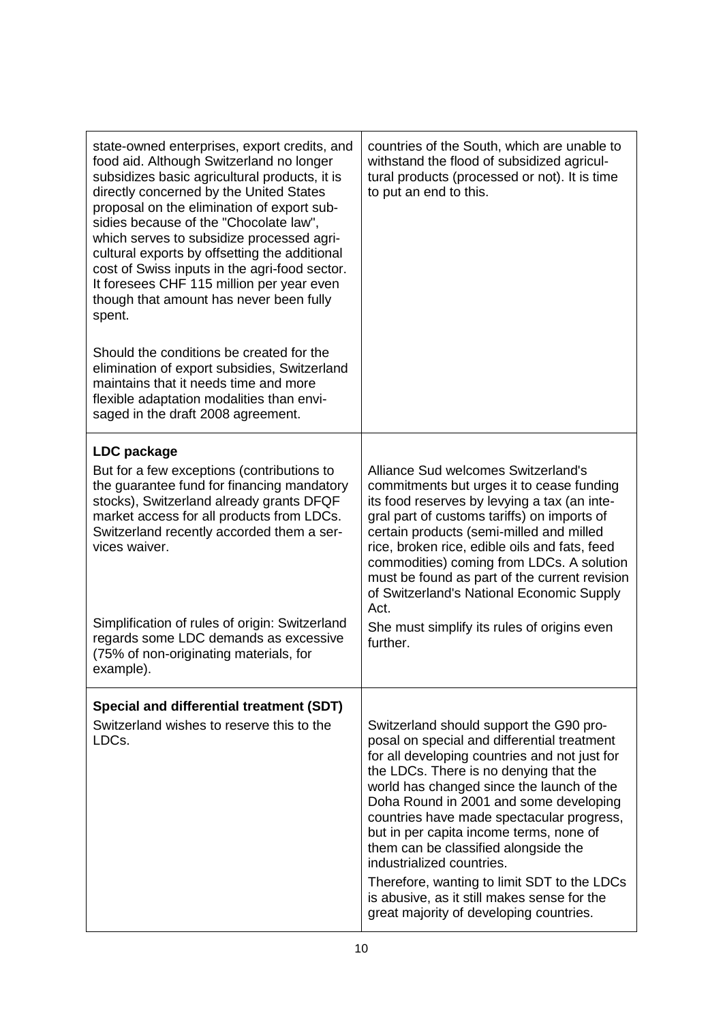| state-owned enterprises, export credits, and<br>food aid. Although Switzerland no longer<br>subsidizes basic agricultural products, it is<br>directly concerned by the United States<br>proposal on the elimination of export sub-<br>sidies because of the "Chocolate law",<br>which serves to subsidize processed agri-<br>cultural exports by offsetting the additional<br>cost of Swiss inputs in the agri-food sector.<br>It foresees CHF 115 million per year even<br>though that amount has never been fully<br>spent.<br>Should the conditions be created for the<br>elimination of export subsidies, Switzerland<br>maintains that it needs time and more<br>flexible adaptation modalities than envi-<br>saged in the draft 2008 agreement. | countries of the South, which are unable to<br>withstand the flood of subsidized agricul-<br>tural products (processed or not). It is time<br>to put an end to this.                                                                                                                                                                                                                                                                                                                                                                                                           |
|-------------------------------------------------------------------------------------------------------------------------------------------------------------------------------------------------------------------------------------------------------------------------------------------------------------------------------------------------------------------------------------------------------------------------------------------------------------------------------------------------------------------------------------------------------------------------------------------------------------------------------------------------------------------------------------------------------------------------------------------------------|--------------------------------------------------------------------------------------------------------------------------------------------------------------------------------------------------------------------------------------------------------------------------------------------------------------------------------------------------------------------------------------------------------------------------------------------------------------------------------------------------------------------------------------------------------------------------------|
| LDC package<br>But for a few exceptions (contributions to<br>the guarantee fund for financing mandatory<br>stocks), Switzerland already grants DFQF<br>market access for all products from LDCs.<br>Switzerland recently accorded them a ser-<br>vices waiver.<br>Simplification of rules of origin: Switzerland<br>regards some LDC demands as excessive                                                                                                                                                                                                                                                                                                                                                                                             | Alliance Sud welcomes Switzerland's<br>commitments but urges it to cease funding<br>its food reserves by levying a tax (an inte-<br>gral part of customs tariffs) on imports of<br>certain products (semi-milled and milled<br>rice, broken rice, edible oils and fats, feed<br>commodities) coming from LDCs. A solution<br>must be found as part of the current revision<br>of Switzerland's National Economic Supply<br>Act.<br>She must simplify its rules of origins even                                                                                                 |
| (75% of non-originating materials, for<br>example).                                                                                                                                                                                                                                                                                                                                                                                                                                                                                                                                                                                                                                                                                                   | further.                                                                                                                                                                                                                                                                                                                                                                                                                                                                                                                                                                       |
| Special and differential treatment (SDT)<br>Switzerland wishes to reserve this to the<br>LDCs.                                                                                                                                                                                                                                                                                                                                                                                                                                                                                                                                                                                                                                                        | Switzerland should support the G90 pro-<br>posal on special and differential treatment<br>for all developing countries and not just for<br>the LDCs. There is no denying that the<br>world has changed since the launch of the<br>Doha Round in 2001 and some developing<br>countries have made spectacular progress,<br>but in per capita income terms, none of<br>them can be classified alongside the<br>industrialized countries.<br>Therefore, wanting to limit SDT to the LDCs<br>is abusive, as it still makes sense for the<br>great majority of developing countries. |